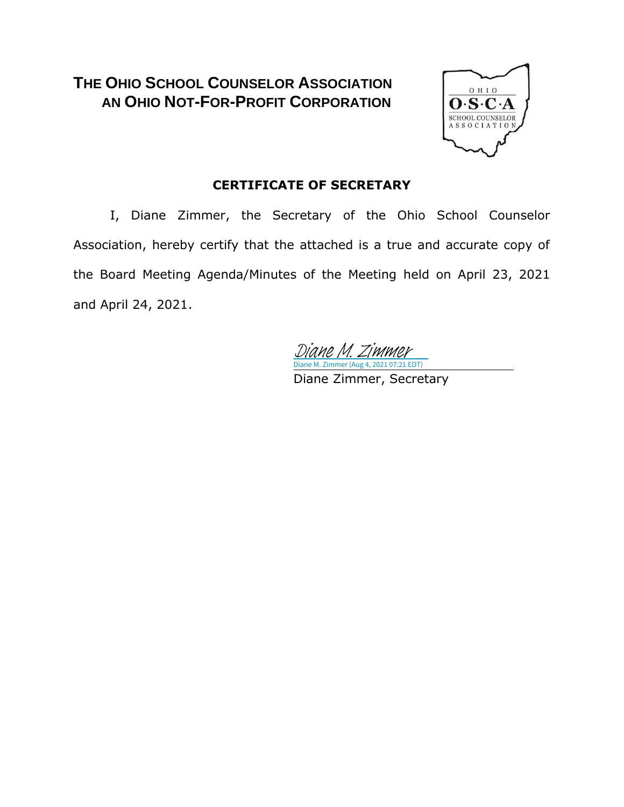### **THE OHIO SCHOOL COUNSELOR ASSOCIATION AN OHIO NOT-FOR-PROFIT CORPORATION**



#### **CERTIFICATE OF SECRETARY**

I, Diane Zimmer, the Secretary of the Ohio School Counselor Association, hereby certify that the attached is a true and accurate copy of the Board Meeting Agenda/Minutes of the Meeting held on April 23, 2021 and April 24, 2021.

Diane M. Zimmer (Aug 4, 2021 07:21 EDT) [Diane M. Zimmer](https://na1.documents.adobe.com/verifier?tx=CBJCHBCAABAAYBX90cObBgDgmAO_6N_5novh9Kftqnr9)

Diane Zimmer, Secretary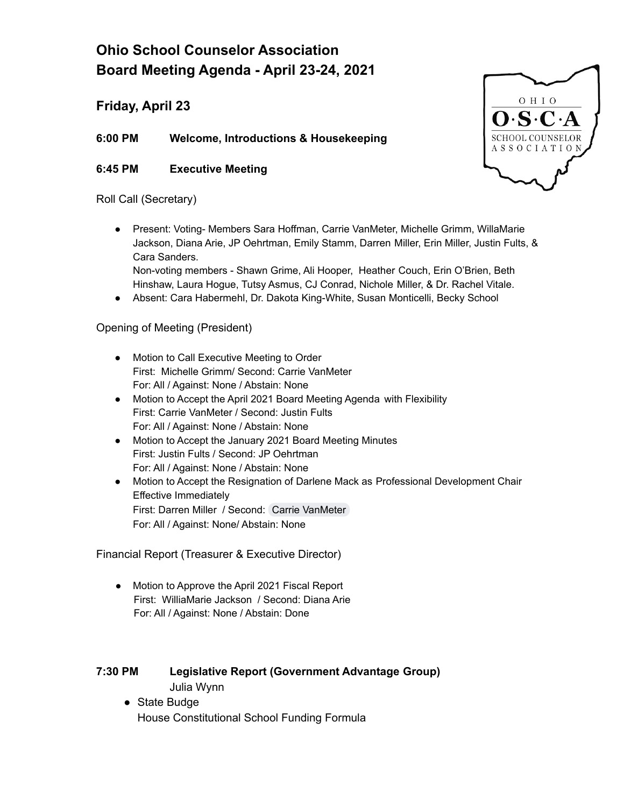## **Ohio School Counselor Association Board Meeting Agenda - April 23-24, 2021**

**Friday, April 23**

**6:00 PM Welcome, Introductions & Housekeeping**

**6:45 PM Executive Meeting**

#### Roll Call (Secretary)

● Present: Voting- Members Sara Hoffman, Carrie VanMeter, Michelle Grimm, WillaMarie Jackson, Diana Arie, JP Oehrtman, Emily Stamm, Darren Miller, Erin Miller, Justin Fults, & Cara Sanders.

Non-voting members - Shawn Grime, Ali Hooper, Heather Couch, Erin O'Brien, Beth Hinshaw, Laura Hogue, Tutsy Asmus, CJ Conrad, Nichole Miller, & Dr. Rachel Vitale.

Absent: Cara Habermehl, Dr. Dakota King-White, Susan Monticelli, Becky School

#### Opening of Meeting (President)

- Motion to Call Executive Meeting to Order First: Michelle Grimm/ Second: Carrie VanMeter For: All / Against: None / Abstain: None
- Motion to Accept the April 2021 Board Meeting Agenda with Flexibility First: Carrie VanMeter / Second: Justin Fults For: All / Against: None / Abstain: None
- Motion to Accept the January 2021 Board Meeting Minutes First: Justin Fults / Second: JP Oehrtman For: All / Against: None / Abstain: None
- Motion to Accept the Resignation of Darlene Mack as Professional Development Chair Effective Immediately First: Darren Miller / Second: Carrie [VanMeter](mailto:carrievanmeter@ohioschoolcounselor.org) For: All / Against: None/ Abstain: None

Financial Report (Treasurer & Executive Director)

● Motion to Approve the April 2021 Fiscal Report First: WilliaMarie Jackson / Second: Diana Arie For: All / Against: None / Abstain: Done

#### **7:30 PM Legislative Report (Government Advantage Group)** Julia Wynn

● State Budge House Constitutional School Funding Formula

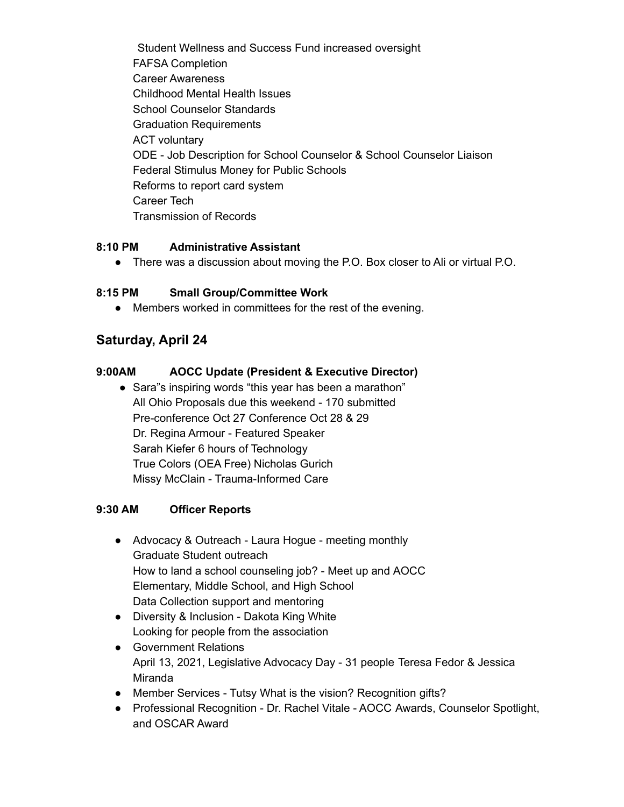Student Wellness and Success Fund increased oversight FAFSA Completion Career Awareness Childhood Mental Health Issues School Counselor Standards Graduation Requirements ACT voluntary ODE - Job Description for School Counselor & School Counselor Liaison Federal Stimulus Money for Public Schools Reforms to report card system Career Tech Transmission of Records

#### **8:10 PM Administrative Assistant**

● There was a discussion about moving the P.O. Box closer to Ali or virtual P.O.

#### **8:15 PM Small Group/Committee Work**

● Members worked in committees for the rest of the evening.

#### **Saturday, April 24**

#### **9:00AM AOCC Update (President & Executive Director)**

• Sara"s inspiring words "this year has been a marathon" All Ohio Proposals due this weekend - 170 submitted Pre-conference Oct 27 Conference Oct 28 & 29 Dr. Regina Armour - Featured Speaker Sarah Kiefer 6 hours of Technology True Colors (OEA Free) Nicholas Gurich Missy McClain - Trauma-Informed Care

#### **9:30 AM Officer Reports**

- Advocacy & Outreach Laura Hogue meeting monthly Graduate Student outreach How to land a school counseling job? - Meet up and AOCC Elementary, Middle School, and High School Data Collection support and mentoring
- Diversity & Inclusion Dakota King White Looking for people from the association
- Government Relations April 13, 2021, Legislative Advocacy Day - 31 people Teresa Fedor & Jessica Miranda
- Member Services Tutsy What is the vision? Recognition gifts?
- Professional Recognition Dr. Rachel Vitale AOCC Awards, Counselor Spotlight, and OSCAR Award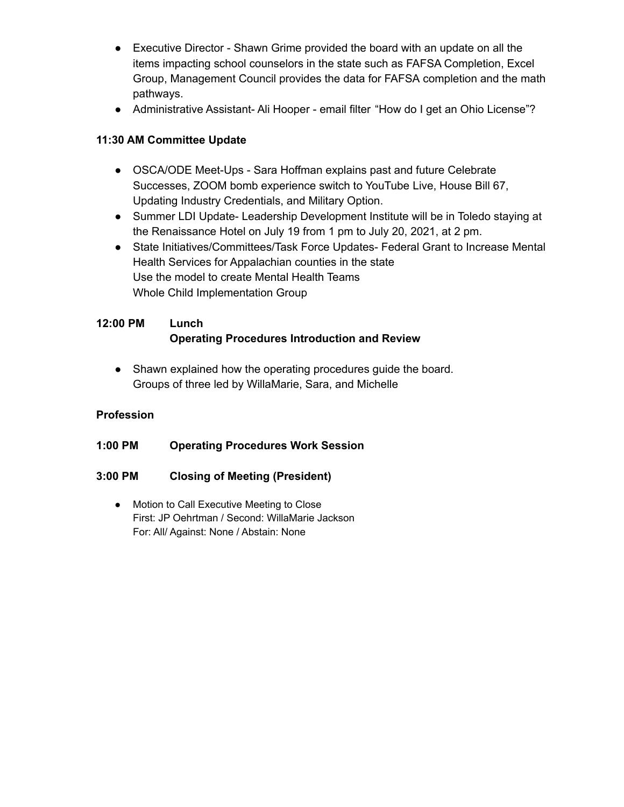- Executive Director Shawn Grime provided the board with an update on all the items impacting school counselors in the state such as FAFSA Completion, Excel Group, Management Council provides the data for FAFSA completion and the math pathways.
- Administrative Assistant- Ali Hooper email filter "How do I get an Ohio License"?

#### **11:30 AM Committee Update**

- OSCA/ODE Meet-Ups Sara Hoffman explains past and future Celebrate Successes, ZOOM bomb experience switch to YouTube Live, House Bill 67, Updating Industry Credentials, and Military Option.
- Summer LDI Update- Leadership Development Institute will be in Toledo staying at the Renaissance Hotel on July 19 from 1 pm to July 20, 2021, at 2 pm.
- State Initiatives/Committees/Task Force Updates- Federal Grant to Increase Mental Health Services for Appalachian counties in the state Use the model to create Mental Health Teams Whole Child Implementation Group

#### **12:00 PM Lunch Operating Procedures Introduction and Review**

● Shawn explained how the operating procedures guide the board. Groups of three led by WillaMarie, Sara, and Michelle

#### **Profession**

**1:00 PM Operating Procedures Work Session**

#### **3:00 PM Closing of Meeting (President)**

● Motion to Call Executive Meeting to Close First: JP Oehrtman / Second: WillaMarie Jackson For: All/ Against: None / Abstain: None